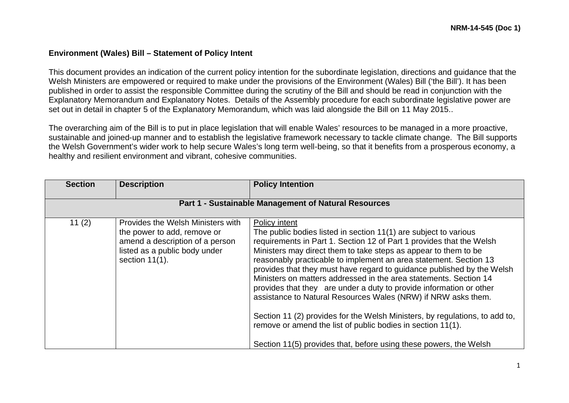## **Environment (Wales) Bill – Statement of Policy Intent**

This document provides an indication of the current policy intention for the subordinate legislation, directions and guidance that the Welsh Ministers are empowered or required to make under the provisions of the Environment (Wales) Bill ('the Bill'). It has been published in order to assist the responsible Committee during the scrutiny of the Bill and should be read in conjunction with the Explanatory Memorandum and Explanatory Notes. Details of the Assembly procedure for each subordinate legislative power are set out in detail in chapter 5 of the Explanatory Memorandum, which was laid alongside the Bill on 11 May 2015..

The overarching aim of the Bill is to put in place legislation that will enable Wales' resources to be managed in a more proactive, sustainable and joined-up manner and to establish the legislative framework necessary to tackle climate change. The Bill supports the Welsh Government's wider work to help secure Wales's long term well-being, so that it benefits from a prosperous economy, a healthy and resilient environment and vibrant, cohesive communities.

| <b>Section</b> | <b>Description</b>                                                                                                                                        | <b>Policy Intention</b>                                                                                                                                                                                                                                                                                                                                                                                                                                                                                                                                                                                                                                                                                                                                                                                     |  |
|----------------|-----------------------------------------------------------------------------------------------------------------------------------------------------------|-------------------------------------------------------------------------------------------------------------------------------------------------------------------------------------------------------------------------------------------------------------------------------------------------------------------------------------------------------------------------------------------------------------------------------------------------------------------------------------------------------------------------------------------------------------------------------------------------------------------------------------------------------------------------------------------------------------------------------------------------------------------------------------------------------------|--|
|                | Part 1 - Sustainable Management of Natural Resources                                                                                                      |                                                                                                                                                                                                                                                                                                                                                                                                                                                                                                                                                                                                                                                                                                                                                                                                             |  |
| 11(2)          | Provides the Welsh Ministers with<br>the power to add, remove or<br>amend a description of a person<br>listed as a public body under<br>section $11(1)$ . | Policy intent<br>The public bodies listed in section 11(1) are subject to various<br>requirements in Part 1. Section 12 of Part 1 provides that the Welsh<br>Ministers may direct them to take steps as appear to them to be<br>reasonably practicable to implement an area statement. Section 13<br>provides that they must have regard to guidance published by the Welsh<br>Ministers on matters addressed in the area statements. Section 14<br>provides that they are under a duty to provide information or other<br>assistance to Natural Resources Wales (NRW) if NRW asks them.<br>Section 11 (2) provides for the Welsh Ministers, by regulations, to add to,<br>remove or amend the list of public bodies in section 11(1).<br>Section 11(5) provides that, before using these powers, the Welsh |  |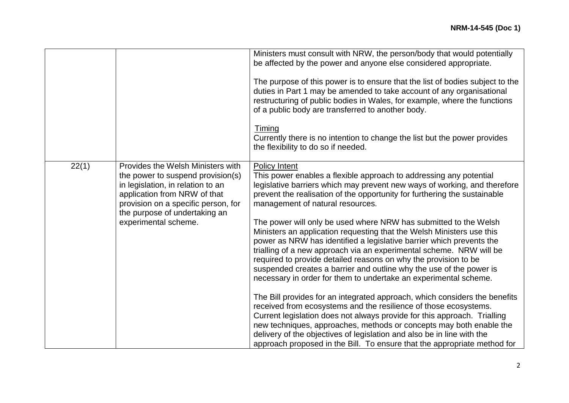|       |                                                                                                                                                                                                                                             | Ministers must consult with NRW, the person/body that would potentially<br>be affected by the power and anyone else considered appropriate.<br>The purpose of this power is to ensure that the list of bodies subject to the<br>duties in Part 1 may be amended to take account of any organisational<br>restructuring of public bodies in Wales, for example, where the functions<br>of a public body are transferred to another body.<br><b>Timing</b><br>Currently there is no intention to change the list but the power provides<br>the flexibility to do so if needed.                                                                                                                                                                                                                                                                                                                                                                                                                                                                                                                                                                                                                                                                                  |
|-------|---------------------------------------------------------------------------------------------------------------------------------------------------------------------------------------------------------------------------------------------|---------------------------------------------------------------------------------------------------------------------------------------------------------------------------------------------------------------------------------------------------------------------------------------------------------------------------------------------------------------------------------------------------------------------------------------------------------------------------------------------------------------------------------------------------------------------------------------------------------------------------------------------------------------------------------------------------------------------------------------------------------------------------------------------------------------------------------------------------------------------------------------------------------------------------------------------------------------------------------------------------------------------------------------------------------------------------------------------------------------------------------------------------------------------------------------------------------------------------------------------------------------|
| 22(1) | Provides the Welsh Ministers with<br>the power to suspend provision(s)<br>in legislation, in relation to an<br>application from NRW of that<br>provision on a specific person, for<br>the purpose of undertaking an<br>experimental scheme. | <b>Policy Intent</b><br>This power enables a flexible approach to addressing any potential<br>legislative barriers which may prevent new ways of working, and therefore<br>prevent the realisation of the opportunity for furthering the sustainable<br>management of natural resources.<br>The power will only be used where NRW has submitted to the Welsh<br>Ministers an application requesting that the Welsh Ministers use this<br>power as NRW has identified a legislative barrier which prevents the<br>trialling of a new approach via an experimental scheme. NRW will be<br>required to provide detailed reasons on why the provision to be<br>suspended creates a barrier and outline why the use of the power is<br>necessary in order for them to undertake an experimental scheme.<br>The Bill provides for an integrated approach, which considers the benefits<br>received from ecosystems and the resilience of those ecosystems.<br>Current legislation does not always provide for this approach. Trialling<br>new techniques, approaches, methods or concepts may both enable the<br>delivery of the objectives of legislation and also be in line with the<br>approach proposed in the Bill. To ensure that the appropriate method for |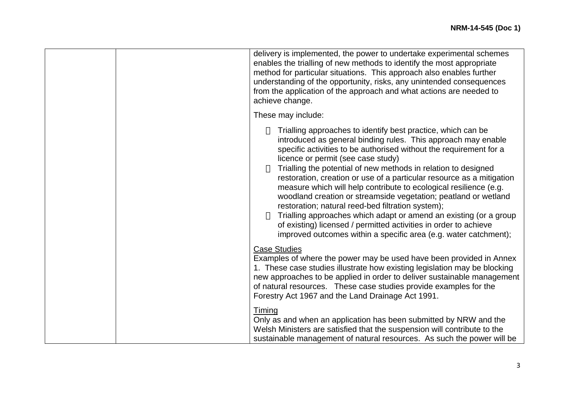|  | delivery is implemented, the power to undertake experimental schemes<br>enables the trialling of new methods to identify the most appropriate<br>method for particular situations. This approach also enables further<br>understanding of the opportunity, risks, any unintended consequences<br>from the application of the approach and what actions are needed to<br>achieve change.                                                                                                                                                                                                                                                                                                                                                                                                        |
|--|------------------------------------------------------------------------------------------------------------------------------------------------------------------------------------------------------------------------------------------------------------------------------------------------------------------------------------------------------------------------------------------------------------------------------------------------------------------------------------------------------------------------------------------------------------------------------------------------------------------------------------------------------------------------------------------------------------------------------------------------------------------------------------------------|
|  | These may include:                                                                                                                                                                                                                                                                                                                                                                                                                                                                                                                                                                                                                                                                                                                                                                             |
|  | Trialling approaches to identify best practice, which can be<br>introduced as general binding rules. This approach may enable<br>specific activities to be authorised without the requirement for a<br>licence or permit (see case study)<br>Trialling the potential of new methods in relation to designed<br>restoration, creation or use of a particular resource as a mitigation<br>measure which will help contribute to ecological resilience (e.g.<br>woodland creation or streamside vegetation; peatland or wetland<br>restoration; natural reed-bed filtration system);<br>Trialling approaches which adapt or amend an existing (or a group<br>of existing) licensed / permitted activities in order to achieve<br>improved outcomes within a specific area (e.g. water catchment); |
|  | <b>Case Studies</b><br>Examples of where the power may be used have been provided in Annex<br>1. These case studies illustrate how existing legislation may be blocking<br>new approaches to be applied in order to deliver sustainable management<br>of natural resources. These case studies provide examples for the<br>Forestry Act 1967 and the Land Drainage Act 1991.                                                                                                                                                                                                                                                                                                                                                                                                                   |
|  | Timing<br>Only as and when an application has been submitted by NRW and the<br>Welsh Ministers are satisfied that the suspension will contribute to the<br>sustainable management of natural resources. As such the power will be                                                                                                                                                                                                                                                                                                                                                                                                                                                                                                                                                              |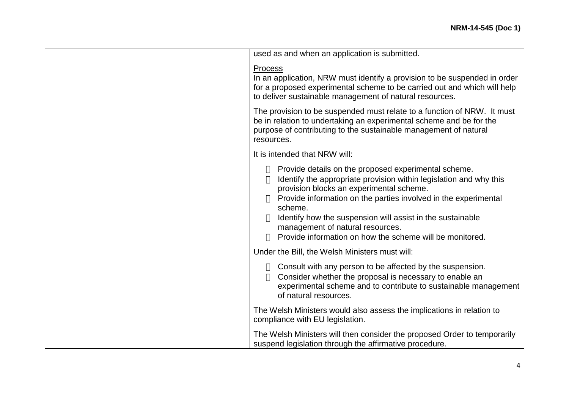|  | used as and when an application is submitted.                                                                                                                                                                                                                                                                                                                                                                      |
|--|--------------------------------------------------------------------------------------------------------------------------------------------------------------------------------------------------------------------------------------------------------------------------------------------------------------------------------------------------------------------------------------------------------------------|
|  | Process<br>In an application, NRW must identify a provision to be suspended in order<br>for a proposed experimental scheme to be carried out and which will help<br>to deliver sustainable management of natural resources.                                                                                                                                                                                        |
|  | The provision to be suspended must relate to a function of NRW. It must<br>be in relation to undertaking an experimental scheme and be for the<br>purpose of contributing to the sustainable management of natural<br>resources.                                                                                                                                                                                   |
|  | It is intended that NRW will:                                                                                                                                                                                                                                                                                                                                                                                      |
|  | Provide details on the proposed experimental scheme.<br>Identify the appropriate provision within legislation and why this<br>provision blocks an experimental scheme.<br>Provide information on the parties involved in the experimental<br>scheme.<br>Identify how the suspension will assist in the sustainable<br>management of natural resources.<br>Provide information on how the scheme will be monitored. |
|  | Under the Bill, the Welsh Ministers must will:                                                                                                                                                                                                                                                                                                                                                                     |
|  | Consult with any person to be affected by the suspension.<br>Consider whether the proposal is necessary to enable an<br>experimental scheme and to contribute to sustainable management<br>of natural resources.                                                                                                                                                                                                   |
|  | The Welsh Ministers would also assess the implications in relation to<br>compliance with EU legislation.                                                                                                                                                                                                                                                                                                           |
|  | The Welsh Ministers will then consider the proposed Order to temporarily<br>suspend legislation through the affirmative procedure.                                                                                                                                                                                                                                                                                 |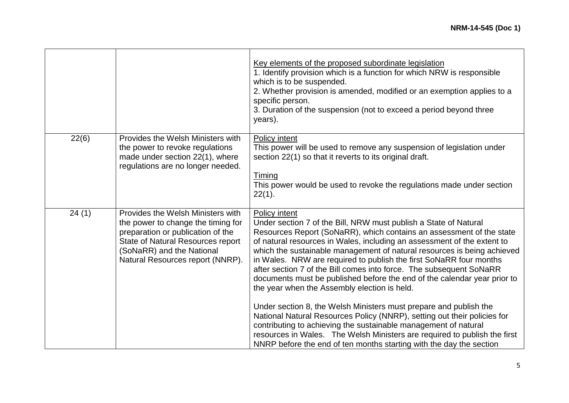|       |                                                                                                                                                                                                                    | Key elements of the proposed subordinate legislation<br>1. Identify provision which is a function for which NRW is responsible<br>which is to be suspended.<br>2. Whether provision is amended, modified or an exemption applies to a<br>specific person.<br>3. Duration of the suspension (not to exceed a period beyond three<br>years).                                                                                                                                                                                                                                                                                                                                                                                                                                                                                                                                                                                                                       |
|-------|--------------------------------------------------------------------------------------------------------------------------------------------------------------------------------------------------------------------|------------------------------------------------------------------------------------------------------------------------------------------------------------------------------------------------------------------------------------------------------------------------------------------------------------------------------------------------------------------------------------------------------------------------------------------------------------------------------------------------------------------------------------------------------------------------------------------------------------------------------------------------------------------------------------------------------------------------------------------------------------------------------------------------------------------------------------------------------------------------------------------------------------------------------------------------------------------|
| 22(6) | Provides the Welsh Ministers with<br>the power to revoke regulations<br>made under section 22(1), where<br>regulations are no longer needed.                                                                       | <b>Policy intent</b><br>This power will be used to remove any suspension of legislation under<br>section 22(1) so that it reverts to its original draft.<br><b>Timing</b><br>This power would be used to revoke the regulations made under section<br>$22(1)$ .                                                                                                                                                                                                                                                                                                                                                                                                                                                                                                                                                                                                                                                                                                  |
| 24(1) | Provides the Welsh Ministers with<br>the power to change the timing for<br>preparation or publication of the<br>State of Natural Resources report<br>(SoNaRR) and the National<br>Natural Resources report (NNRP). | Policy intent<br>Under section 7 of the Bill, NRW must publish a State of Natural<br>Resources Report (SoNaRR), which contains an assessment of the state<br>of natural resources in Wales, including an assessment of the extent to<br>which the sustainable management of natural resources is being achieved<br>in Wales. NRW are required to publish the first SoNaRR four months<br>after section 7 of the Bill comes into force. The subsequent SoNaRR<br>documents must be published before the end of the calendar year prior to<br>the year when the Assembly election is held.<br>Under section 8, the Welsh Ministers must prepare and publish the<br>National Natural Resources Policy (NNRP), setting out their policies for<br>contributing to achieving the sustainable management of natural<br>resources in Wales. The Welsh Ministers are required to publish the first<br>NNRP before the end of ten months starting with the day the section |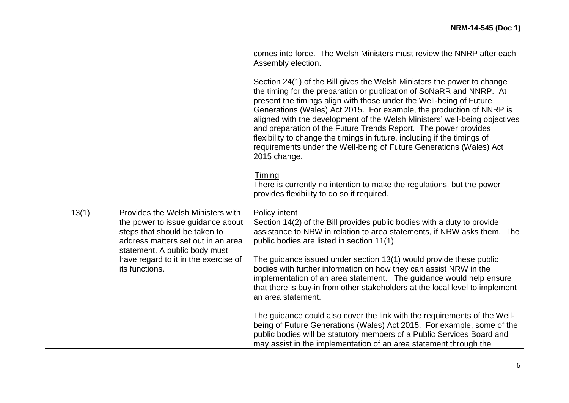|       |                                                                                                                                                                                | comes into force. The Welsh Ministers must review the NNRP after each<br>Assembly election.<br>Section 24(1) of the Bill gives the Welsh Ministers the power to change<br>the timing for the preparation or publication of SoNaRR and NNRP. At<br>present the timings align with those under the Well-being of Future<br>Generations (Wales) Act 2015. For example, the production of NNRP is<br>aligned with the development of the Welsh Ministers' well-being objectives<br>and preparation of the Future Trends Report. The power provides<br>flexibility to change the timings in future, including if the timings of<br>requirements under the Well-being of Future Generations (Wales) Act<br>2015 change. |
|-------|--------------------------------------------------------------------------------------------------------------------------------------------------------------------------------|-------------------------------------------------------------------------------------------------------------------------------------------------------------------------------------------------------------------------------------------------------------------------------------------------------------------------------------------------------------------------------------------------------------------------------------------------------------------------------------------------------------------------------------------------------------------------------------------------------------------------------------------------------------------------------------------------------------------|
|       |                                                                                                                                                                                | Timing<br>There is currently no intention to make the regulations, but the power<br>provides flexibility to do so if required.                                                                                                                                                                                                                                                                                                                                                                                                                                                                                                                                                                                    |
| 13(1) | Provides the Welsh Ministers with<br>the power to issue guidance about<br>steps that should be taken to<br>address matters set out in an area<br>statement. A public body must | Policy intent<br>Section 14(2) of the Bill provides public bodies with a duty to provide<br>assistance to NRW in relation to area statements, if NRW asks them. The<br>public bodies are listed in section 11(1).                                                                                                                                                                                                                                                                                                                                                                                                                                                                                                 |
|       | have regard to it in the exercise of<br>its functions.                                                                                                                         | The guidance issued under section 13(1) would provide these public<br>bodies with further information on how they can assist NRW in the<br>implementation of an area statement. The guidance would help ensure<br>that there is buy-in from other stakeholders at the local level to implement<br>an area statement.                                                                                                                                                                                                                                                                                                                                                                                              |
|       |                                                                                                                                                                                | The guidance could also cover the link with the requirements of the Well-<br>being of Future Generations (Wales) Act 2015. For example, some of the<br>public bodies will be statutory members of a Public Services Board and<br>may assist in the implementation of an area statement through the                                                                                                                                                                                                                                                                                                                                                                                                                |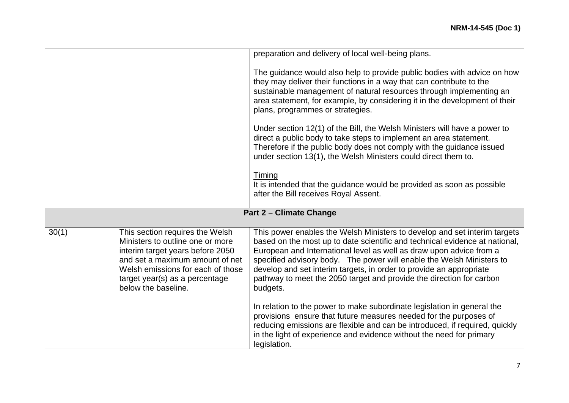|       |                                                                                                                                                                                                                                          | preparation and delivery of local well-being plans.                                                                                                                                                                                                                                                                                                                                                                                                                 |
|-------|------------------------------------------------------------------------------------------------------------------------------------------------------------------------------------------------------------------------------------------|---------------------------------------------------------------------------------------------------------------------------------------------------------------------------------------------------------------------------------------------------------------------------------------------------------------------------------------------------------------------------------------------------------------------------------------------------------------------|
|       |                                                                                                                                                                                                                                          | The guidance would also help to provide public bodies with advice on how<br>they may deliver their functions in a way that can contribute to the<br>sustainable management of natural resources through implementing an<br>area statement, for example, by considering it in the development of their<br>plans, programmes or strategies.                                                                                                                           |
|       |                                                                                                                                                                                                                                          | Under section 12(1) of the Bill, the Welsh Ministers will have a power to<br>direct a public body to take steps to implement an area statement.<br>Therefore if the public body does not comply with the guidance issued<br>under section 13(1), the Welsh Ministers could direct them to.                                                                                                                                                                          |
|       |                                                                                                                                                                                                                                          | Timing<br>It is intended that the guidance would be provided as soon as possible<br>after the Bill receives Royal Assent.                                                                                                                                                                                                                                                                                                                                           |
|       |                                                                                                                                                                                                                                          | <b>Part 2 - Climate Change</b>                                                                                                                                                                                                                                                                                                                                                                                                                                      |
| 30(1) | This section requires the Welsh<br>Ministers to outline one or more<br>interim target years before 2050<br>and set a maximum amount of net<br>Welsh emissions for each of those<br>target year(s) as a percentage<br>below the baseline. | This power enables the Welsh Ministers to develop and set interim targets<br>based on the most up to date scientific and technical evidence at national,<br>European and International level as well as draw upon advice from a<br>specified advisory body. The power will enable the Welsh Ministers to<br>develop and set interim targets, in order to provide an appropriate<br>pathway to meet the 2050 target and provide the direction for carbon<br>budgets. |
|       |                                                                                                                                                                                                                                          | In relation to the power to make subordinate legislation in general the<br>provisions ensure that future measures needed for the purposes of<br>reducing emissions are flexible and can be introduced, if required, quickly<br>in the light of experience and evidence without the need for primary<br>legislation.                                                                                                                                                 |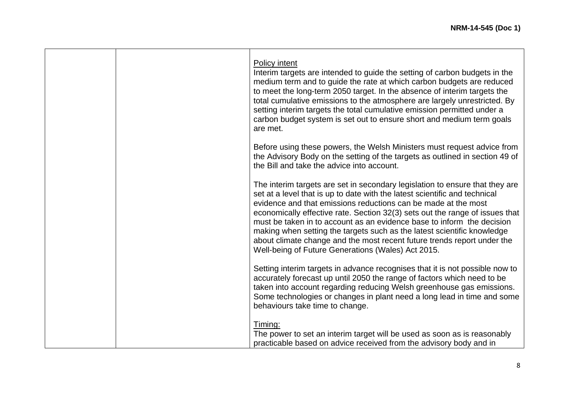|  | Policy intent<br>Interim targets are intended to guide the setting of carbon budgets in the<br>medium term and to guide the rate at which carbon budgets are reduced<br>to meet the long-term 2050 target. In the absence of interim targets the<br>total cumulative emissions to the atmosphere are largely unrestricted. By<br>setting interim targets the total cumulative emission permitted under a<br>carbon budget system is set out to ensure short and medium term goals<br>are met.                                                                                                      |
|--|----------------------------------------------------------------------------------------------------------------------------------------------------------------------------------------------------------------------------------------------------------------------------------------------------------------------------------------------------------------------------------------------------------------------------------------------------------------------------------------------------------------------------------------------------------------------------------------------------|
|  | Before using these powers, the Welsh Ministers must request advice from<br>the Advisory Body on the setting of the targets as outlined in section 49 of<br>the Bill and take the advice into account.                                                                                                                                                                                                                                                                                                                                                                                              |
|  | The interim targets are set in secondary legislation to ensure that they are<br>set at a level that is up to date with the latest scientific and technical<br>evidence and that emissions reductions can be made at the most<br>economically effective rate. Section 32(3) sets out the range of issues that<br>must be taken in to account as an evidence base to inform the decision<br>making when setting the targets such as the latest scientific knowledge<br>about climate change and the most recent future trends report under the<br>Well-being of Future Generations (Wales) Act 2015. |
|  | Setting interim targets in advance recognises that it is not possible now to<br>accurately forecast up until 2050 the range of factors which need to be<br>taken into account regarding reducing Welsh greenhouse gas emissions.<br>Some technologies or changes in plant need a long lead in time and some<br>behaviours take time to change.                                                                                                                                                                                                                                                     |
|  | Timing:<br>The power to set an interim target will be used as soon as is reasonably<br>practicable based on advice received from the advisory body and in                                                                                                                                                                                                                                                                                                                                                                                                                                          |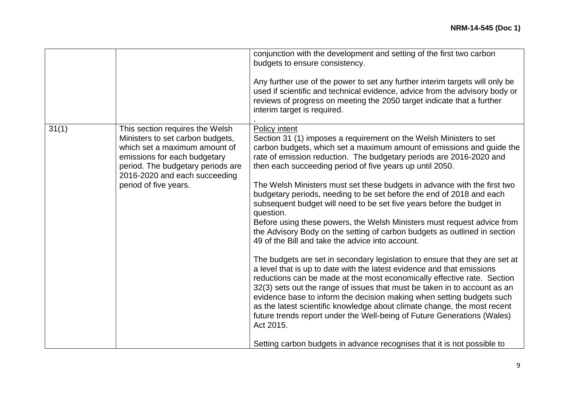|       |                                                                                                                                                                                                                                     | conjunction with the development and setting of the first two carbon<br>budgets to ensure consistency.<br>Any further use of the power to set any further interim targets will only be<br>used if scientific and technical evidence, advice from the advisory body or<br>reviews of progress on meeting the 2050 target indicate that a further<br>interim target is required.                                                                                                                                                                                                                                                                                                                                                                                                                                                                                                                                                                                                                                                                                                                                                                                                                                                                                                                                                                                                                 |
|-------|-------------------------------------------------------------------------------------------------------------------------------------------------------------------------------------------------------------------------------------|------------------------------------------------------------------------------------------------------------------------------------------------------------------------------------------------------------------------------------------------------------------------------------------------------------------------------------------------------------------------------------------------------------------------------------------------------------------------------------------------------------------------------------------------------------------------------------------------------------------------------------------------------------------------------------------------------------------------------------------------------------------------------------------------------------------------------------------------------------------------------------------------------------------------------------------------------------------------------------------------------------------------------------------------------------------------------------------------------------------------------------------------------------------------------------------------------------------------------------------------------------------------------------------------------------------------------------------------------------------------------------------------|
| 31(1) | This section requires the Welsh<br>Ministers to set carbon budgets,<br>which set a maximum amount of<br>emissions for each budgetary<br>period. The budgetary periods are<br>2016-2020 and each succeeding<br>period of five years. | Policy intent<br>Section 31 (1) imposes a requirement on the Welsh Ministers to set<br>carbon budgets, which set a maximum amount of emissions and guide the<br>rate of emission reduction. The budgetary periods are 2016-2020 and<br>then each succeeding period of five years up until 2050.<br>The Welsh Ministers must set these budgets in advance with the first two<br>budgetary periods, needing to be set before the end of 2018 and each<br>subsequent budget will need to be set five years before the budget in<br>question.<br>Before using these powers, the Welsh Ministers must request advice from<br>the Advisory Body on the setting of carbon budgets as outlined in section<br>49 of the Bill and take the advice into account.<br>The budgets are set in secondary legislation to ensure that they are set at<br>a level that is up to date with the latest evidence and that emissions<br>reductions can be made at the most economically effective rate. Section<br>32(3) sets out the range of issues that must be taken in to account as an<br>evidence base to inform the decision making when setting budgets such<br>as the latest scientific knowledge about climate change, the most recent<br>future trends report under the Well-being of Future Generations (Wales)<br>Act 2015.<br>Setting carbon budgets in advance recognises that it is not possible to |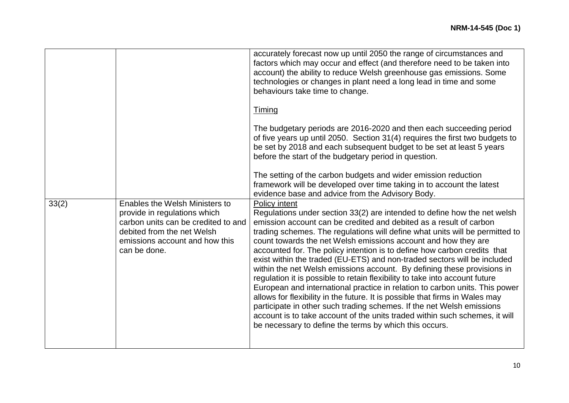|       |                                                                                                                                                                                       | accurately forecast now up until 2050 the range of circumstances and<br>factors which may occur and effect (and therefore need to be taken into<br>account) the ability to reduce Welsh greenhouse gas emissions. Some<br>technologies or changes in plant need a long lead in time and some<br>behaviours take time to change.                                                                                                                                                                                                                                                                                                                                                                                                                                                                                                                                                                                                                                                                                      |
|-------|---------------------------------------------------------------------------------------------------------------------------------------------------------------------------------------|----------------------------------------------------------------------------------------------------------------------------------------------------------------------------------------------------------------------------------------------------------------------------------------------------------------------------------------------------------------------------------------------------------------------------------------------------------------------------------------------------------------------------------------------------------------------------------------------------------------------------------------------------------------------------------------------------------------------------------------------------------------------------------------------------------------------------------------------------------------------------------------------------------------------------------------------------------------------------------------------------------------------|
|       |                                                                                                                                                                                       | <b>Timing</b>                                                                                                                                                                                                                                                                                                                                                                                                                                                                                                                                                                                                                                                                                                                                                                                                                                                                                                                                                                                                        |
|       |                                                                                                                                                                                       | The budgetary periods are 2016-2020 and then each succeeding period<br>of five years up until 2050. Section 31(4) requires the first two budgets to<br>be set by 2018 and each subsequent budget to be set at least 5 years<br>before the start of the budgetary period in question.                                                                                                                                                                                                                                                                                                                                                                                                                                                                                                                                                                                                                                                                                                                                 |
|       |                                                                                                                                                                                       | The setting of the carbon budgets and wider emission reduction<br>framework will be developed over time taking in to account the latest<br>evidence base and advice from the Advisory Body.                                                                                                                                                                                                                                                                                                                                                                                                                                                                                                                                                                                                                                                                                                                                                                                                                          |
| 33(2) | Enables the Welsh Ministers to<br>provide in regulations which<br>carbon units can be credited to and<br>debited from the net Welsh<br>emissions account and how this<br>can be done. | Policy intent<br>Regulations under section 33(2) are intended to define how the net welsh<br>emission account can be credited and debited as a result of carbon<br>trading schemes. The regulations will define what units will be permitted to<br>count towards the net Welsh emissions account and how they are<br>accounted for. The policy intention is to define how carbon credits that<br>exist within the traded (EU-ETS) and non-traded sectors will be included<br>within the net Welsh emissions account. By defining these provisions in<br>regulation it is possible to retain flexibility to take into account future<br>European and international practice in relation to carbon units. This power<br>allows for flexibility in the future. It is possible that firms in Wales may<br>participate in other such trading schemes. If the net Welsh emissions<br>account is to take account of the units traded within such schemes, it will<br>be necessary to define the terms by which this occurs. |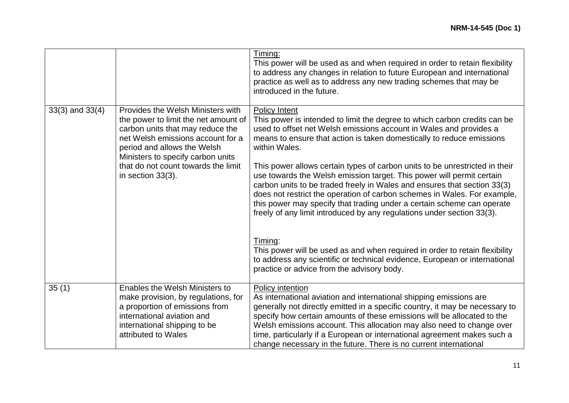|                     |                                                                                                                                                                                                                                                                                    | Timing:<br>This power will be used as and when required in order to retain flexibility<br>to address any changes in relation to future European and international<br>practice as well as to address any new trading schemes that may be<br>introduced in the future.                                                                                                                                                                                                                                                                                                                                                                                                                                                                                                                                                                                                                                                                                        |
|---------------------|------------------------------------------------------------------------------------------------------------------------------------------------------------------------------------------------------------------------------------------------------------------------------------|-------------------------------------------------------------------------------------------------------------------------------------------------------------------------------------------------------------------------------------------------------------------------------------------------------------------------------------------------------------------------------------------------------------------------------------------------------------------------------------------------------------------------------------------------------------------------------------------------------------------------------------------------------------------------------------------------------------------------------------------------------------------------------------------------------------------------------------------------------------------------------------------------------------------------------------------------------------|
| $33(3)$ and $33(4)$ | Provides the Welsh Ministers with<br>the power to limit the net amount of<br>carbon units that may reduce the<br>net Welsh emissions account for a<br>period and allows the Welsh<br>Ministers to specify carbon units<br>that do not count towards the limit<br>in section 33(3). | <b>Policy Intent</b><br>This power is intended to limit the degree to which carbon credits can be<br>used to offset net Welsh emissions account in Wales and provides a<br>means to ensure that action is taken domestically to reduce emissions<br>within Wales.<br>This power allows certain types of carbon units to be unrestricted in their<br>use towards the Welsh emission target. This power will permit certain<br>carbon units to be traded freely in Wales and ensures that section 33(3)<br>does not restrict the operation of carbon schemes in Wales. For example,<br>this power may specify that trading under a certain scheme can operate<br>freely of any limit introduced by any regulations under section 33(3).<br>Timing:<br>This power will be used as and when required in order to retain flexibility<br>to address any scientific or technical evidence, European or international<br>practice or advice from the advisory body. |
| 35(1)               | Enables the Welsh Ministers to<br>make provision, by regulations, for<br>a proportion of emissions from<br>international aviation and<br>international shipping to be<br>attributed to Wales                                                                                       | Policy intention<br>As international aviation and international shipping emissions are<br>generally not directly emitted in a specific country, it may be necessary to<br>specify how certain amounts of these emissions will be allocated to the<br>Welsh emissions account. This allocation may also need to change over<br>time, particularly if a European or international agreement makes such a<br>change necessary in the future. There is no current international                                                                                                                                                                                                                                                                                                                                                                                                                                                                                 |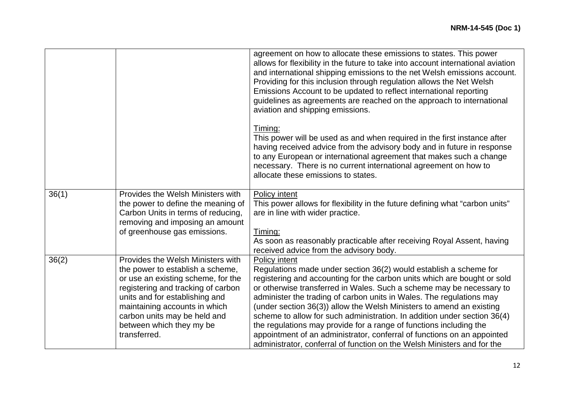|       |                                                                                                                                                                                                                                                                                                  | agreement on how to allocate these emissions to states. This power<br>allows for flexibility in the future to take into account international aviation<br>and international shipping emissions to the net Welsh emissions account.<br>Providing for this inclusion through regulation allows the Net Welsh<br>Emissions Account to be updated to reflect international reporting<br>guidelines as agreements are reached on the approach to international<br>aviation and shipping emissions.                                                                                                                                                                                                                                             |
|-------|--------------------------------------------------------------------------------------------------------------------------------------------------------------------------------------------------------------------------------------------------------------------------------------------------|-------------------------------------------------------------------------------------------------------------------------------------------------------------------------------------------------------------------------------------------------------------------------------------------------------------------------------------------------------------------------------------------------------------------------------------------------------------------------------------------------------------------------------------------------------------------------------------------------------------------------------------------------------------------------------------------------------------------------------------------|
|       |                                                                                                                                                                                                                                                                                                  | Timing:<br>This power will be used as and when required in the first instance after<br>having received advice from the advisory body and in future in response<br>to any European or international agreement that makes such a change<br>necessary. There is no current international agreement on how to<br>allocate these emissions to states.                                                                                                                                                                                                                                                                                                                                                                                          |
| 36(1) | Provides the Welsh Ministers with<br>the power to define the meaning of<br>Carbon Units in terms of reducing,<br>removing and imposing an amount<br>of greenhouse gas emissions.                                                                                                                 | <b>Policy intent</b><br>This power allows for flexibility in the future defining what "carbon units"<br>are in line with wider practice.<br>Timing:<br>As soon as reasonably practicable after receiving Royal Assent, having                                                                                                                                                                                                                                                                                                                                                                                                                                                                                                             |
| 36(2) | Provides the Welsh Ministers with<br>the power to establish a scheme,<br>or use an existing scheme, for the<br>registering and tracking of carbon<br>units and for establishing and<br>maintaining accounts in which<br>carbon units may be held and<br>between which they my be<br>transferred. | received advice from the advisory body.<br>Policy intent<br>Regulations made under section 36(2) would establish a scheme for<br>registering and accounting for the carbon units which are bought or sold<br>or otherwise transferred in Wales. Such a scheme may be necessary to<br>administer the trading of carbon units in Wales. The regulations may<br>(under section 36(3)) allow the Welsh Ministers to amend an existing<br>scheme to allow for such administration. In addition under section 36(4)<br>the regulations may provide for a range of functions including the<br>appointment of an administrator, conferral of functions on an appointed<br>administrator, conferral of function on the Welsh Ministers and for the |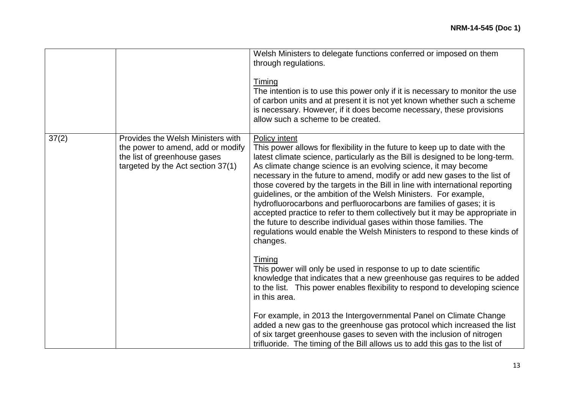|       |                                                                                                                                             | Welsh Ministers to delegate functions conferred or imposed on them<br>through regulations.<br><b>Timing</b><br>The intention is to use this power only if it is necessary to monitor the use<br>of carbon units and at present it is not yet known whether such a scheme<br>is necessary. However, if it does become necessary, these provisions<br>allow such a scheme to be created.                                                                                                                                                                                                                                                                                                                                                                                                                   |
|-------|---------------------------------------------------------------------------------------------------------------------------------------------|----------------------------------------------------------------------------------------------------------------------------------------------------------------------------------------------------------------------------------------------------------------------------------------------------------------------------------------------------------------------------------------------------------------------------------------------------------------------------------------------------------------------------------------------------------------------------------------------------------------------------------------------------------------------------------------------------------------------------------------------------------------------------------------------------------|
| 37(2) | Provides the Welsh Ministers with<br>the power to amend, add or modify<br>the list of greenhouse gases<br>targeted by the Act section 37(1) | Policy intent<br>This power allows for flexibility in the future to keep up to date with the<br>latest climate science, particularly as the Bill is designed to be long-term.<br>As climate change science is an evolving science, it may become<br>necessary in the future to amend, modify or add new gases to the list of<br>those covered by the targets in the Bill in line with international reporting<br>guidelines, or the ambition of the Welsh Ministers. For example,<br>hydrofluorocarbons and perfluorocarbons are families of gases; it is<br>accepted practice to refer to them collectively but it may be appropriate in<br>the future to describe individual gases within those families. The<br>regulations would enable the Welsh Ministers to respond to these kinds of<br>changes. |
|       |                                                                                                                                             | Timing<br>This power will only be used in response to up to date scientific<br>knowledge that indicates that a new greenhouse gas requires to be added<br>to the list. This power enables flexibility to respond to developing science<br>in this area.                                                                                                                                                                                                                                                                                                                                                                                                                                                                                                                                                  |
|       |                                                                                                                                             | For example, in 2013 the Intergovernmental Panel on Climate Change<br>added a new gas to the greenhouse gas protocol which increased the list<br>of six target greenhouse gases to seven with the inclusion of nitrogen<br>trifluoride. The timing of the Bill allows us to add this gas to the list of                                                                                                                                                                                                                                                                                                                                                                                                                                                                                                  |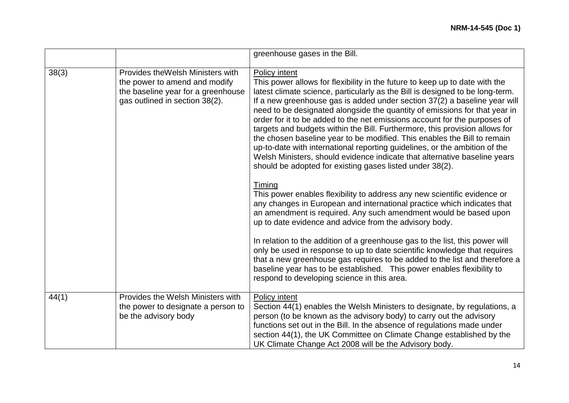|       |                                                                                                                                            | greenhouse gases in the Bill.                                                                                                                                                                                                                                                                                                                                                                                                                                                                                                                                                                                                                                                                                                                                                                                                                                                                                                                                                                                                                                                                                 |
|-------|--------------------------------------------------------------------------------------------------------------------------------------------|---------------------------------------------------------------------------------------------------------------------------------------------------------------------------------------------------------------------------------------------------------------------------------------------------------------------------------------------------------------------------------------------------------------------------------------------------------------------------------------------------------------------------------------------------------------------------------------------------------------------------------------------------------------------------------------------------------------------------------------------------------------------------------------------------------------------------------------------------------------------------------------------------------------------------------------------------------------------------------------------------------------------------------------------------------------------------------------------------------------|
| 38(3) | Provides the Welsh Ministers with<br>the power to amend and modify<br>the baseline year for a greenhouse<br>gas outlined in section 38(2). | <b>Policy intent</b><br>This power allows for flexibility in the future to keep up to date with the<br>latest climate science, particularly as the Bill is designed to be long-term.<br>If a new greenhouse gas is added under section 37(2) a baseline year will<br>need to be designated alongside the quantity of emissions for that year in<br>order for it to be added to the net emissions account for the purposes of<br>targets and budgets within the Bill. Furthermore, this provision allows for<br>the chosen baseline year to be modified. This enables the Bill to remain<br>up-to-date with international reporting guidelines, or the ambition of the<br>Welsh Ministers, should evidence indicate that alternative baseline years<br>should be adopted for existing gases listed under 38(2).<br>Timing<br>This power enables flexibility to address any new scientific evidence or<br>any changes in European and international practice which indicates that<br>an amendment is required. Any such amendment would be based upon<br>up to date evidence and advice from the advisory body. |
|       |                                                                                                                                            | In relation to the addition of a greenhouse gas to the list, this power will<br>only be used in response to up to date scientific knowledge that requires<br>that a new greenhouse gas requires to be added to the list and therefore a<br>baseline year has to be established. This power enables flexibility to<br>respond to developing science in this area.                                                                                                                                                                                                                                                                                                                                                                                                                                                                                                                                                                                                                                                                                                                                              |
| 44(1) | Provides the Welsh Ministers with<br>the power to designate a person to<br>be the advisory body                                            | Policy intent<br>Section 44(1) enables the Welsh Ministers to designate, by regulations, a<br>person (to be known as the advisory body) to carry out the advisory<br>functions set out in the Bill. In the absence of regulations made under<br>section 44(1), the UK Committee on Climate Change established by the<br>UK Climate Change Act 2008 will be the Advisory body.                                                                                                                                                                                                                                                                                                                                                                                                                                                                                                                                                                                                                                                                                                                                 |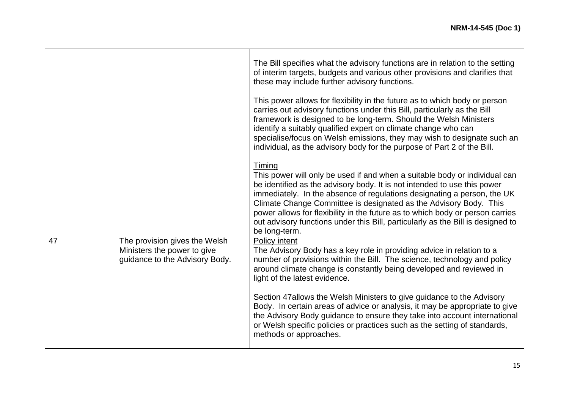|    |                                                                                                | The Bill specifies what the advisory functions are in relation to the setting<br>of interim targets, budgets and various other provisions and clarifies that<br>these may include further advisory functions.<br>This power allows for flexibility in the future as to which body or person<br>carries out advisory functions under this Bill, particularly as the Bill<br>framework is designed to be long-term. Should the Welsh Ministers<br>identify a suitably qualified expert on climate change who can<br>specialise/focus on Welsh emissions, they may wish to designate such an<br>individual, as the advisory body for the purpose of Part 2 of the Bill. |
|----|------------------------------------------------------------------------------------------------|----------------------------------------------------------------------------------------------------------------------------------------------------------------------------------------------------------------------------------------------------------------------------------------------------------------------------------------------------------------------------------------------------------------------------------------------------------------------------------------------------------------------------------------------------------------------------------------------------------------------------------------------------------------------|
|    |                                                                                                | Timing<br>This power will only be used if and when a suitable body or individual can<br>be identified as the advisory body. It is not intended to use this power<br>immediately. In the absence of regulations designating a person, the UK<br>Climate Change Committee is designated as the Advisory Body. This<br>power allows for flexibility in the future as to which body or person carries<br>out advisory functions under this Bill, particularly as the Bill is designed to<br>be long-term.                                                                                                                                                                |
| 47 | The provision gives the Welsh<br>Ministers the power to give<br>guidance to the Advisory Body. | Policy intent<br>The Advisory Body has a key role in providing advice in relation to a<br>number of provisions within the Bill. The science, technology and policy<br>around climate change is constantly being developed and reviewed in<br>light of the latest evidence.<br>Section 47 allows the Welsh Ministers to give guidance to the Advisory<br>Body. In certain areas of advice or analysis, it may be appropriate to give<br>the Advisory Body guidance to ensure they take into account international<br>or Welsh specific policies or practices such as the setting of standards,<br>methods or approaches.                                              |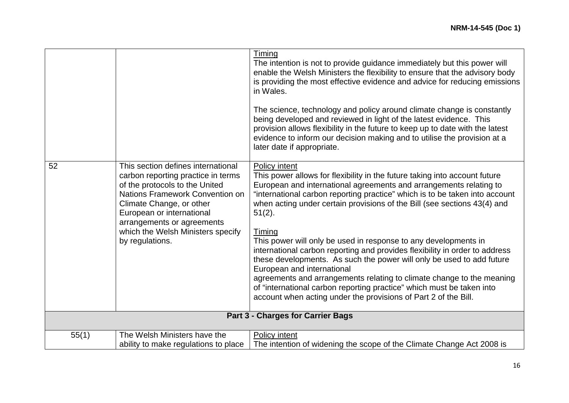|       |                                                                                                                                                                                                                                                                                              | Timing<br>The intention is not to provide guidance immediately but this power will<br>enable the Welsh Ministers the flexibility to ensure that the advisory body<br>is providing the most effective evidence and advice for reducing emissions<br>in Wales.<br>The science, technology and policy around climate change is constantly<br>being developed and reviewed in light of the latest evidence. This<br>provision allows flexibility in the future to keep up to date with the latest<br>evidence to inform our decision making and to utilise the provision at a<br>later date if appropriate.                                                                                                                                                                                                                           |
|-------|----------------------------------------------------------------------------------------------------------------------------------------------------------------------------------------------------------------------------------------------------------------------------------------------|-----------------------------------------------------------------------------------------------------------------------------------------------------------------------------------------------------------------------------------------------------------------------------------------------------------------------------------------------------------------------------------------------------------------------------------------------------------------------------------------------------------------------------------------------------------------------------------------------------------------------------------------------------------------------------------------------------------------------------------------------------------------------------------------------------------------------------------|
| 52    | This section defines international<br>carbon reporting practice in terms<br>of the protocols to the United<br>Nations Framework Convention on<br>Climate Change, or other<br>European or international<br>arrangements or agreements<br>which the Welsh Ministers specify<br>by regulations. | Policy intent<br>This power allows for flexibility in the future taking into account future<br>European and international agreements and arrangements relating to<br>"international carbon reporting practice" which is to be taken into account<br>when acting under certain provisions of the Bill (see sections 43(4) and<br>$51(2)$ .<br>Timing<br>This power will only be used in response to any developments in<br>international carbon reporting and provides flexibility in order to address<br>these developments. As such the power will only be used to add future<br>European and international<br>agreements and arrangements relating to climate change to the meaning<br>of "international carbon reporting practice" which must be taken into<br>account when acting under the provisions of Part 2 of the Bill. |
|       |                                                                                                                                                                                                                                                                                              | Part 3 - Charges for Carrier Bags                                                                                                                                                                                                                                                                                                                                                                                                                                                                                                                                                                                                                                                                                                                                                                                                 |
| 55(1) | The Welsh Ministers have the<br>ability to make regulations to place                                                                                                                                                                                                                         | Policy intent<br>The intention of widening the scope of the Climate Change Act 2008 is                                                                                                                                                                                                                                                                                                                                                                                                                                                                                                                                                                                                                                                                                                                                            |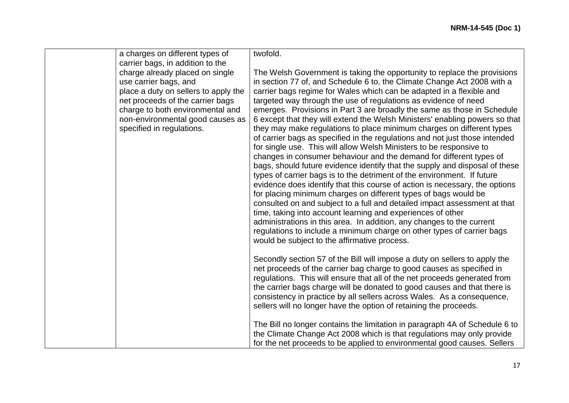| a charges on different types of                               | twofold.                                                                                                                                        |
|---------------------------------------------------------------|-------------------------------------------------------------------------------------------------------------------------------------------------|
| carrier bags, in addition to the                              |                                                                                                                                                 |
| charge already placed on single                               | The Welsh Government is taking the opportunity to replace the provisions                                                                        |
| use carrier bags, and<br>place a duty on sellers to apply the | in section 77 of, and Schedule 6 to, the Climate Change Act 2008 with a<br>carrier bags regime for Wales which can be adapted in a flexible and |
| net proceeds of the carrier bags                              | targeted way through the use of regulations as evidence of need                                                                                 |
| charge to both environmental and                              | emerges. Provisions in Part 3 are broadly the same as those in Schedule                                                                         |
| non-environmental good causes as                              | 6 except that they will extend the Welsh Ministers' enabling powers so that                                                                     |
| specified in regulations.                                     | they may make regulations to place minimum charges on different types                                                                           |
|                                                               | of carrier bags as specified in the regulations and not just those intended                                                                     |
|                                                               | for single use. This will allow Welsh Ministers to be responsive to                                                                             |
|                                                               | changes in consumer behaviour and the demand for different types of                                                                             |
|                                                               | bags, should future evidence identify that the supply and disposal of these                                                                     |
|                                                               | types of carrier bags is to the detriment of the environment. If future                                                                         |
|                                                               | evidence does identify that this course of action is necessary, the options<br>for placing minimum charges on different types of bags would be  |
|                                                               | consulted on and subject to a full and detailed impact assessment at that                                                                       |
|                                                               | time, taking into account learning and experiences of other                                                                                     |
|                                                               | administrations in this area. In addition, any changes to the current                                                                           |
|                                                               | regulations to include a minimum charge on other types of carrier bags                                                                          |
|                                                               | would be subject to the affirmative process.                                                                                                    |
|                                                               | Secondly section 57 of the Bill will impose a duty on sellers to apply the                                                                      |
|                                                               | net proceeds of the carrier bag charge to good causes as specified in                                                                           |
|                                                               | regulations. This will ensure that all of the net proceeds generated from                                                                       |
|                                                               | the carrier bags charge will be donated to good causes and that there is                                                                        |
|                                                               | consistency in practice by all sellers across Wales. As a consequence,                                                                          |
|                                                               | sellers will no longer have the option of retaining the proceeds.                                                                               |
|                                                               | The Bill no longer contains the limitation in paragraph 4A of Schedule 6 to                                                                     |
|                                                               | the Climate Change Act 2008 which is that regulations may only provide                                                                          |
|                                                               | for the net proceeds to be applied to environmental good causes. Sellers                                                                        |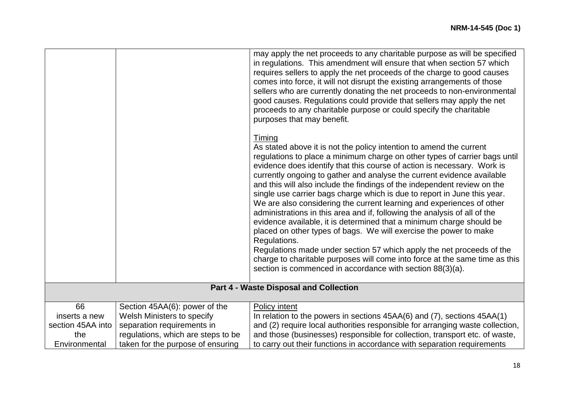|                   |                                    | may apply the net proceeds to any charitable purpose as will be specified<br>in regulations. This amendment will ensure that when section 57 which<br>requires sellers to apply the net proceeds of the charge to good causes<br>comes into force, it will not disrupt the existing arrangements of those<br>sellers who are currently donating the net proceeds to non-environmental<br>good causes. Regulations could provide that sellers may apply the net<br>proceeds to any charitable purpose or could specify the charitable<br>purposes that may benefit.<br><u>Timing</u><br>As stated above it is not the policy intention to amend the current<br>regulations to place a minimum charge on other types of carrier bags until<br>evidence does identify that this course of action is necessary. Work is<br>currently ongoing to gather and analyse the current evidence available<br>and this will also include the findings of the independent review on the<br>single use carrier bags charge which is due to report in June this year.<br>We are also considering the current learning and experiences of other<br>administrations in this area and if, following the analysis of all of the<br>evidence available, it is determined that a minimum charge should be<br>placed on other types of bags. We will exercise the power to make<br>Regulations.<br>Regulations made under section 57 which apply the net proceeds of the<br>charge to charitable purposes will come into force at the same time as this<br>section is commenced in accordance with section 88(3)(a). |
|-------------------|------------------------------------|-----------------------------------------------------------------------------------------------------------------------------------------------------------------------------------------------------------------------------------------------------------------------------------------------------------------------------------------------------------------------------------------------------------------------------------------------------------------------------------------------------------------------------------------------------------------------------------------------------------------------------------------------------------------------------------------------------------------------------------------------------------------------------------------------------------------------------------------------------------------------------------------------------------------------------------------------------------------------------------------------------------------------------------------------------------------------------------------------------------------------------------------------------------------------------------------------------------------------------------------------------------------------------------------------------------------------------------------------------------------------------------------------------------------------------------------------------------------------------------------------------------------------------------------------------------------------------------------------|
|                   |                                    | Part 4 - Waste Disposal and Collection                                                                                                                                                                                                                                                                                                                                                                                                                                                                                                                                                                                                                                                                                                                                                                                                                                                                                                                                                                                                                                                                                                                                                                                                                                                                                                                                                                                                                                                                                                                                                        |
|                   |                                    |                                                                                                                                                                                                                                                                                                                                                                                                                                                                                                                                                                                                                                                                                                                                                                                                                                                                                                                                                                                                                                                                                                                                                                                                                                                                                                                                                                                                                                                                                                                                                                                               |
| 66                | Section 45AA(6): power of the      | Policy intent                                                                                                                                                                                                                                                                                                                                                                                                                                                                                                                                                                                                                                                                                                                                                                                                                                                                                                                                                                                                                                                                                                                                                                                                                                                                                                                                                                                                                                                                                                                                                                                 |
| inserts a new     | Welsh Ministers to specify         | In relation to the powers in sections 45AA(6) and (7), sections 45AA(1)                                                                                                                                                                                                                                                                                                                                                                                                                                                                                                                                                                                                                                                                                                                                                                                                                                                                                                                                                                                                                                                                                                                                                                                                                                                                                                                                                                                                                                                                                                                       |
| section 45AA into | separation requirements in         | and (2) require local authorities responsible for arranging waste collection,                                                                                                                                                                                                                                                                                                                                                                                                                                                                                                                                                                                                                                                                                                                                                                                                                                                                                                                                                                                                                                                                                                                                                                                                                                                                                                                                                                                                                                                                                                                 |
| the               | regulations, which are steps to be | and those (businesses) responsible for collection, transport etc. of waste,                                                                                                                                                                                                                                                                                                                                                                                                                                                                                                                                                                                                                                                                                                                                                                                                                                                                                                                                                                                                                                                                                                                                                                                                                                                                                                                                                                                                                                                                                                                   |
| Environmental     | taken for the purpose of ensuring  | to carry out their functions in accordance with separation requirements                                                                                                                                                                                                                                                                                                                                                                                                                                                                                                                                                                                                                                                                                                                                                                                                                                                                                                                                                                                                                                                                                                                                                                                                                                                                                                                                                                                                                                                                                                                       |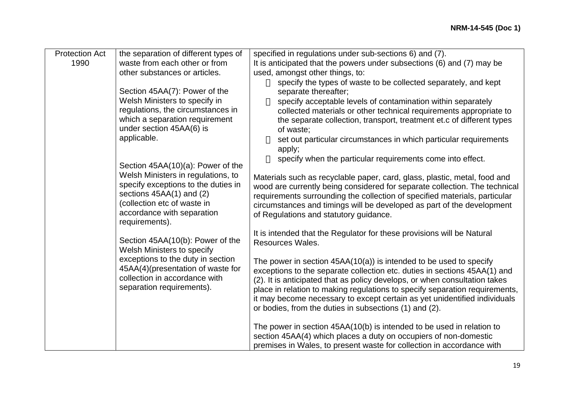| <b>Protection Act</b> | the separation of different types of                           | specified in regulations under sub-sections 6) and (7).                     |
|-----------------------|----------------------------------------------------------------|-----------------------------------------------------------------------------|
| 1990                  | waste from each other or from                                  | It is anticipated that the powers under subsections (6) and (7) may be      |
|                       | other substances or articles.                                  | used, amongst other things, to:                                             |
|                       |                                                                | specify the types of waste to be collected separately, and kept             |
|                       | Section 45AA(7): Power of the                                  | separate thereafter;                                                        |
|                       | Welsh Ministers to specify in                                  | specify acceptable levels of contamination within separately                |
|                       | regulations, the circumstances in                              | collected materials or other technical requirements appropriate to          |
|                       | which a separation requirement                                 | the separate collection, transport, treatment et.c of different types       |
|                       | under section 45AA(6) is                                       | of waste:                                                                   |
|                       | applicable.                                                    | set out particular circumstances in which particular requirements           |
|                       |                                                                | apply;                                                                      |
|                       |                                                                | specify when the particular requirements come into effect.                  |
|                       | Section 45AA(10)(a): Power of the                              |                                                                             |
|                       | Welsh Ministers in regulations, to                             | Materials such as recyclable paper, card, glass, plastic, metal, food and   |
|                       | specify exceptions to the duties in                            | wood are currently being considered for separate collection. The technical  |
|                       | sections $45AA(1)$ and $(2)$                                   | requirements surrounding the collection of specified materials, particular  |
|                       | (collection etc of waste in                                    | circumstances and timings will be developed as part of the development      |
|                       | accordance with separation                                     | of Regulations and statutory guidance.                                      |
|                       | requirements).                                                 |                                                                             |
|                       |                                                                | It is intended that the Regulator for these provisions will be Natural      |
|                       | Section 45AA(10(b): Power of the<br>Welsh Ministers to specify | Resources Wales.                                                            |
|                       | exceptions to the duty in section                              |                                                                             |
|                       | 45AA(4)(presentation of waste for                              | The power in section $45AA(10(a))$ is intended to be used to specify        |
|                       | collection in accordance with                                  | exceptions to the separate collection etc. duties in sections 45AA(1) and   |
|                       | separation requirements).                                      | (2). It is anticipated that as policy develops, or when consultation takes  |
|                       |                                                                | place in relation to making regulations to specify separation requirements, |
|                       |                                                                | it may become necessary to except certain as yet unidentified individuals   |
|                       |                                                                | or bodies, from the duties in subsections (1) and (2).                      |
|                       |                                                                |                                                                             |
|                       |                                                                | The power in section 45AA(10(b) is intended to be used in relation to       |
|                       |                                                                | section 45AA(4) which places a duty on occupiers of non-domestic            |
|                       |                                                                | premises in Wales, to present waste for collection in accordance with       |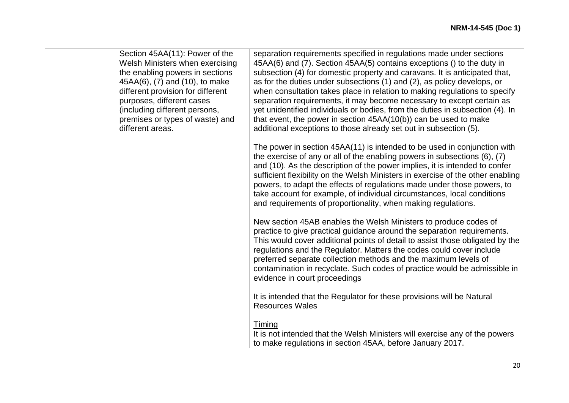| Section 45AA(11): Power of the<br>Welsh Ministers when exercising<br>the enabling powers in sections<br>45AA(6), (7) and (10), to make<br>different provision for different<br>purposes, different cases<br>(including different persons,<br>premises or types of waste) and | separation requirements specified in regulations made under sections<br>45AA(6) and (7). Section 45AA(5) contains exceptions () to the duty in<br>subsection (4) for domestic property and caravans. It is anticipated that,<br>as for the duties under subsections (1) and (2), as policy develops, or<br>when consultation takes place in relation to making regulations to specify<br>separation requirements, it may become necessary to except certain as<br>yet unidentified individuals or bodies, from the duties in subsection (4). In<br>that event, the power in section $45AA(10(b))$ can be used to make |
|------------------------------------------------------------------------------------------------------------------------------------------------------------------------------------------------------------------------------------------------------------------------------|-----------------------------------------------------------------------------------------------------------------------------------------------------------------------------------------------------------------------------------------------------------------------------------------------------------------------------------------------------------------------------------------------------------------------------------------------------------------------------------------------------------------------------------------------------------------------------------------------------------------------|
| different areas.                                                                                                                                                                                                                                                             | additional exceptions to those already set out in subsection (5).<br>The power in section 45AA(11) is intended to be used in conjunction with<br>the exercise of any or all of the enabling powers in subsections (6), (7)<br>and (10). As the description of the power implies, it is intended to confer<br>sufficient flexibility on the Welsh Ministers in exercise of the other enabling<br>powers, to adapt the effects of regulations made under those powers, to<br>take account for example, of individual circumstances, local conditions<br>and requirements of proportionality, when making regulations.   |
|                                                                                                                                                                                                                                                                              | New section 45AB enables the Welsh Ministers to produce codes of<br>practice to give practical guidance around the separation requirements.<br>This would cover additional points of detail to assist those obligated by the<br>regulations and the Regulator. Matters the codes could cover include<br>preferred separate collection methods and the maximum levels of<br>contamination in recyclate. Such codes of practice would be admissible in<br>evidence in court proceedings                                                                                                                                 |
|                                                                                                                                                                                                                                                                              | It is intended that the Regulator for these provisions will be Natural<br><b>Resources Wales</b><br><b>Timing</b><br>It is not intended that the Welsh Ministers will exercise any of the powers<br>to make regulations in section 45AA, before January 2017.                                                                                                                                                                                                                                                                                                                                                         |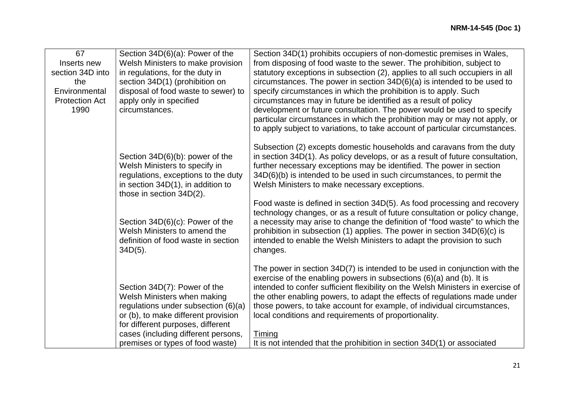| 67                    | Section 34D(6)(a): Power of the     | Section 34D(1) prohibits occupiers of non-domestic premises in Wales,                                                                                      |
|-----------------------|-------------------------------------|------------------------------------------------------------------------------------------------------------------------------------------------------------|
| Inserts new           | Welsh Ministers to make provision   | from disposing of food waste to the sewer. The prohibition, subject to                                                                                     |
| section 34D into      | in regulations, for the duty in     | statutory exceptions in subsection (2), applies to all such occupiers in all                                                                               |
| the                   | section 34D(1) (prohibition on      | circumstances. The power in section $34D(6)(a)$ is intended to be used to                                                                                  |
| Environmental         | disposal of food waste to sewer) to | specify circumstances in which the prohibition is to apply. Such                                                                                           |
| <b>Protection Act</b> | apply only in specified             | circumstances may in future be identified as a result of policy                                                                                            |
| 1990                  | circumstances.                      | development or future consultation. The power would be used to specify                                                                                     |
|                       |                                     | particular circumstances in which the prohibition may or may not apply, or                                                                                 |
|                       |                                     | to apply subject to variations, to take account of particular circumstances.                                                                               |
|                       |                                     | Subsection (2) excepts domestic households and caravans from the duty                                                                                      |
|                       | Section 34D(6)(b): power of the     | in section 34D(1). As policy develops, or as a result of future consultation,                                                                              |
|                       | Welsh Ministers to specify in       | further necessary exceptions may be identified. The power in section                                                                                       |
|                       | regulations, exceptions to the duty | 34D(6)(b) is intended to be used in such circumstances, to permit the                                                                                      |
|                       | in section 34D(1), in addition to   | Welsh Ministers to make necessary exceptions.                                                                                                              |
|                       | those in section 34D(2).            |                                                                                                                                                            |
|                       |                                     | Food waste is defined in section 34D(5). As food processing and recovery                                                                                   |
|                       | Section 34D(6)(c): Power of the     | technology changes, or as a result of future consultation or policy change,<br>a necessity may arise to change the definition of "food waste" to which the |
|                       | Welsh Ministers to amend the        | prohibition in subsection (1) applies. The power in section 34D(6)(c) is                                                                                   |
|                       | definition of food waste in section | intended to enable the Welsh Ministers to adapt the provision to such                                                                                      |
|                       | $34D(5)$ .                          | changes.                                                                                                                                                   |
|                       |                                     |                                                                                                                                                            |
|                       |                                     | The power in section 34D(7) is intended to be used in conjunction with the                                                                                 |
|                       |                                     | exercise of the enabling powers in subsections $(6)(a)$ and $(b)$ . It is                                                                                  |
|                       | Section 34D(7): Power of the        | intended to confer sufficient flexibility on the Welsh Ministers in exercise of                                                                            |
|                       | Welsh Ministers when making         | the other enabling powers, to adapt the effects of regulations made under                                                                                  |
|                       | regulations under subsection (6)(a) | those powers, to take account for example, of individual circumstances,                                                                                    |
|                       | or (b), to make different provision | local conditions and requirements of proportionality.                                                                                                      |
|                       | for different purposes, different   |                                                                                                                                                            |
|                       | cases (including different persons, | Timing                                                                                                                                                     |
|                       | premises or types of food waste)    | It is not intended that the prohibition in section 34D(1) or associated                                                                                    |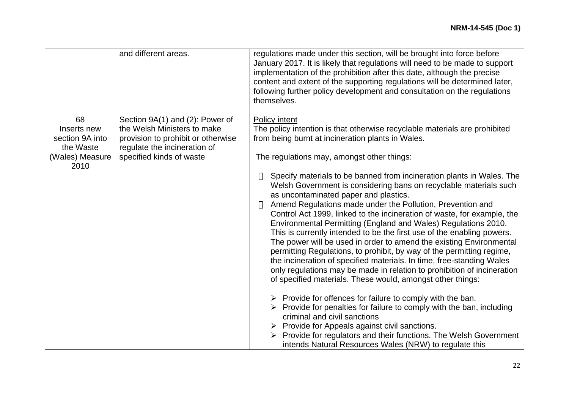|                                             | and different areas.                                                                              | regulations made under this section, will be brought into force before<br>January 2017. It is likely that regulations will need to be made to support<br>implementation of the prohibition after this date, although the precise<br>content and extent of the supporting regulations will be determined later,<br>following further policy development and consultation on the regulations<br>themselves.                                                                                                                                                                                                                                                                                                                                                                                                                                                                                                                                                                                                                                                                                                                                                                                                                     |
|---------------------------------------------|---------------------------------------------------------------------------------------------------|-------------------------------------------------------------------------------------------------------------------------------------------------------------------------------------------------------------------------------------------------------------------------------------------------------------------------------------------------------------------------------------------------------------------------------------------------------------------------------------------------------------------------------------------------------------------------------------------------------------------------------------------------------------------------------------------------------------------------------------------------------------------------------------------------------------------------------------------------------------------------------------------------------------------------------------------------------------------------------------------------------------------------------------------------------------------------------------------------------------------------------------------------------------------------------------------------------------------------------|
| 68                                          | Section 9A(1) and (2): Power of                                                                   | <b>Policy intent</b>                                                                                                                                                                                                                                                                                                                                                                                                                                                                                                                                                                                                                                                                                                                                                                                                                                                                                                                                                                                                                                                                                                                                                                                                          |
| Inserts new<br>section 9A into<br>the Waste | the Welsh Ministers to make<br>provision to prohibit or otherwise<br>regulate the incineration of | The policy intention is that otherwise recyclable materials are prohibited<br>from being burnt at incineration plants in Wales.                                                                                                                                                                                                                                                                                                                                                                                                                                                                                                                                                                                                                                                                                                                                                                                                                                                                                                                                                                                                                                                                                               |
| (Wales) Measure<br>2010                     | specified kinds of waste                                                                          | The regulations may, amongst other things:                                                                                                                                                                                                                                                                                                                                                                                                                                                                                                                                                                                                                                                                                                                                                                                                                                                                                                                                                                                                                                                                                                                                                                                    |
|                                             |                                                                                                   | Specify materials to be banned from incineration plants in Wales. The<br>Welsh Government is considering bans on recyclable materials such<br>as uncontaminated paper and plastics.<br>Amend Regulations made under the Pollution, Prevention and<br>Control Act 1999, linked to the incineration of waste, for example, the<br>Environmental Permitting (England and Wales) Regulations 2010.<br>This is currently intended to be the first use of the enabling powers.<br>The power will be used in order to amend the existing Environmental<br>permitting Regulations, to prohibit, by way of the permitting regime,<br>the incineration of specified materials. In time, free-standing Wales<br>only regulations may be made in relation to prohibition of incineration<br>of specified materials. These would, amongst other things:<br>$\triangleright$ Provide for offences for failure to comply with the ban.<br>Provide for penalties for failure to comply with the ban, including<br>criminal and civil sanctions<br>$\triangleright$ Provide for Appeals against civil sanctions.<br>Provide for regulators and their functions. The Welsh Government<br>intends Natural Resources Wales (NRW) to regulate this |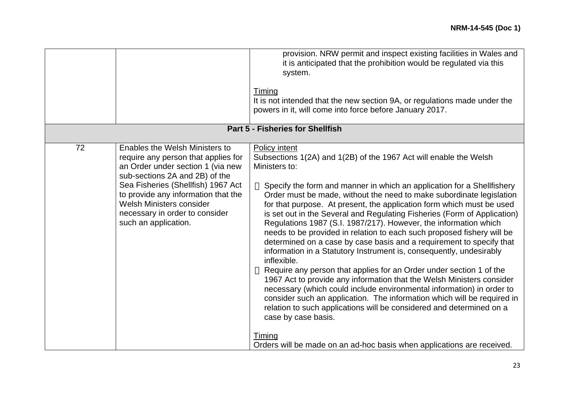|    |                                                                                                                                                                                                                                                                                                                 | provision. NRW permit and inspect existing facilities in Wales and<br>it is anticipated that the prohibition would be regulated via this<br>system.<br>Timing<br>It is not intended that the new section 9A, or regulations made under the<br>powers in it, will come into force before January 2017.<br>Part 5 - Fisheries for Shellfish                                                                                                                                                                                                                                                                                                                                                                                                                                                                                                                                                                                                                                                                                                                                                                                                                                                                            |
|----|-----------------------------------------------------------------------------------------------------------------------------------------------------------------------------------------------------------------------------------------------------------------------------------------------------------------|----------------------------------------------------------------------------------------------------------------------------------------------------------------------------------------------------------------------------------------------------------------------------------------------------------------------------------------------------------------------------------------------------------------------------------------------------------------------------------------------------------------------------------------------------------------------------------------------------------------------------------------------------------------------------------------------------------------------------------------------------------------------------------------------------------------------------------------------------------------------------------------------------------------------------------------------------------------------------------------------------------------------------------------------------------------------------------------------------------------------------------------------------------------------------------------------------------------------|
| 72 | Enables the Welsh Ministers to<br>require any person that applies for<br>an Order under section 1 (via new<br>sub-sections 2A and 2B) of the<br>Sea Fisheries (Shellfish) 1967 Act<br>to provide any information that the<br>Welsh Ministers consider<br>necessary in order to consider<br>such an application. | Policy intent<br>Subsections 1(2A) and 1(2B) of the 1967 Act will enable the Welsh<br>Ministers to:<br>Specify the form and manner in which an application for a Shellfishery<br>Order must be made, without the need to make subordinate legislation<br>for that purpose. At present, the application form which must be used<br>is set out in the Several and Regulating Fisheries (Form of Application)<br>Regulations 1987 (S.I. 1987/217). However, the information which<br>needs to be provided in relation to each such proposed fishery will be<br>determined on a case by case basis and a requirement to specify that<br>information in a Statutory Instrument is, consequently, undesirably<br>inflexible.<br>Require any person that applies for an Order under section 1 of the<br>1967 Act to provide any information that the Welsh Ministers consider<br>necessary (which could include environmental information) in order to<br>consider such an application. The information which will be required in<br>relation to such applications will be considered and determined on a<br>case by case basis.<br><b>Timing</b><br>Orders will be made on an ad-hoc basis when applications are received. |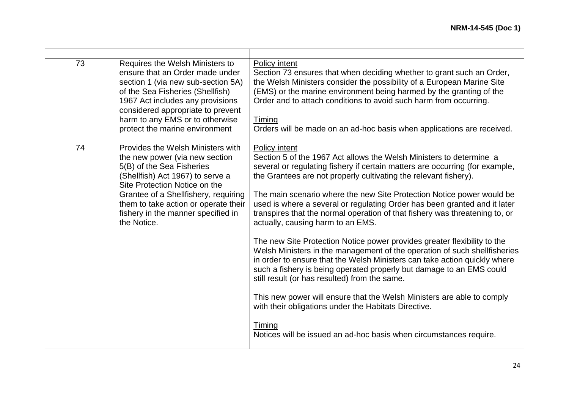| 73 | Requires the Welsh Ministers to<br>ensure that an Order made under<br>section 1 (via new sub-section 5A)<br>of the Sea Fisheries (Shellfish)<br>1967 Act includes any provisions<br>considered appropriate to prevent<br>harm to any EMS or to otherwise<br>protect the marine environment                 | Policy intent<br>Section 73 ensures that when deciding whether to grant such an Order,<br>the Welsh Ministers consider the possibility of a European Marine Site<br>(EMS) or the marine environment being harmed by the granting of the<br>Order and to attach conditions to avoid such harm from occurring.<br>Timing<br>Orders will be made on an ad-hoc basis when applications are received.                                                                                                                                                                                                                                                                                                                                                                                                                                                                                                                                                                                                                                                                                                    |
|----|------------------------------------------------------------------------------------------------------------------------------------------------------------------------------------------------------------------------------------------------------------------------------------------------------------|-----------------------------------------------------------------------------------------------------------------------------------------------------------------------------------------------------------------------------------------------------------------------------------------------------------------------------------------------------------------------------------------------------------------------------------------------------------------------------------------------------------------------------------------------------------------------------------------------------------------------------------------------------------------------------------------------------------------------------------------------------------------------------------------------------------------------------------------------------------------------------------------------------------------------------------------------------------------------------------------------------------------------------------------------------------------------------------------------------|
| 74 | Provides the Welsh Ministers with<br>the new power (via new section<br>5(B) of the Sea Fisheries<br>(Shellfish) Act 1967) to serve a<br>Site Protection Notice on the<br>Grantee of a Shellfishery, requiring<br>them to take action or operate their<br>fishery in the manner specified in<br>the Notice. | Policy intent<br>Section 5 of the 1967 Act allows the Welsh Ministers to determine a<br>several or regulating fishery if certain matters are occurring (for example,<br>the Grantees are not properly cultivating the relevant fishery).<br>The main scenario where the new Site Protection Notice power would be<br>used is where a several or regulating Order has been granted and it later<br>transpires that the normal operation of that fishery was threatening to, or<br>actually, causing harm to an EMS.<br>The new Site Protection Notice power provides greater flexibility to the<br>Welsh Ministers in the management of the operation of such shellfisheries<br>in order to ensure that the Welsh Ministers can take action quickly where<br>such a fishery is being operated properly but damage to an EMS could<br>still result (or has resulted) from the same.<br>This new power will ensure that the Welsh Ministers are able to comply<br>with their obligations under the Habitats Directive.<br>Timing<br>Notices will be issued an ad-hoc basis when circumstances require. |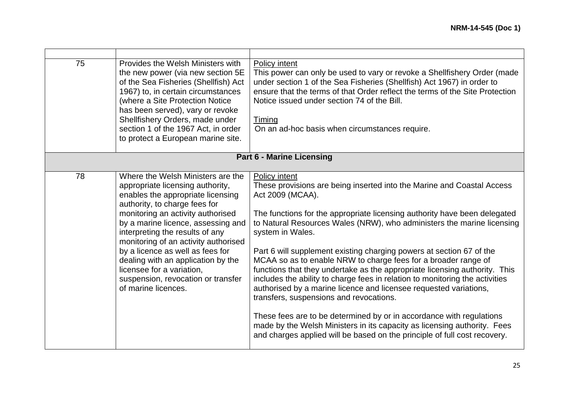| 75                               | Provides the Welsh Ministers with<br>the new power (via new section 5E<br>of the Sea Fisheries (Shellfish) Act<br>1967) to, in certain circumstances<br>(where a Site Protection Notice<br>has been served), vary or revoke<br>Shellfishery Orders, made under<br>section 1 of the 1967 Act, in order<br>to protect a European marine site.                                                                                                                           | Policy intent<br>This power can only be used to vary or revoke a Shellfishery Order (made<br>under section 1 of the Sea Fisheries (Shellfish) Act 1967) in order to<br>ensure that the terms of that Order reflect the terms of the Site Protection<br>Notice issued under section 74 of the Bill.<br>Timing<br>On an ad-hoc basis when circumstances require.                                                                                                                                                                                                                                                                                                                                                                                                                                                                                                                                                                                  |  |
|----------------------------------|-----------------------------------------------------------------------------------------------------------------------------------------------------------------------------------------------------------------------------------------------------------------------------------------------------------------------------------------------------------------------------------------------------------------------------------------------------------------------|-------------------------------------------------------------------------------------------------------------------------------------------------------------------------------------------------------------------------------------------------------------------------------------------------------------------------------------------------------------------------------------------------------------------------------------------------------------------------------------------------------------------------------------------------------------------------------------------------------------------------------------------------------------------------------------------------------------------------------------------------------------------------------------------------------------------------------------------------------------------------------------------------------------------------------------------------|--|
| <b>Part 6 - Marine Licensing</b> |                                                                                                                                                                                                                                                                                                                                                                                                                                                                       |                                                                                                                                                                                                                                                                                                                                                                                                                                                                                                                                                                                                                                                                                                                                                                                                                                                                                                                                                 |  |
| 78                               | Where the Welsh Ministers are the<br>appropriate licensing authority,<br>enables the appropriate licensing<br>authority, to charge fees for<br>monitoring an activity authorised<br>by a marine licence, assessing and<br>interpreting the results of any<br>monitoring of an activity authorised<br>by a licence as well as fees for<br>dealing with an application by the<br>licensee for a variation,<br>suspension, revocation or transfer<br>of marine licences. | Policy intent<br>These provisions are being inserted into the Marine and Coastal Access<br>Act 2009 (MCAA).<br>The functions for the appropriate licensing authority have been delegated<br>to Natural Resources Wales (NRW), who administers the marine licensing<br>system in Wales.<br>Part 6 will supplement existing charging powers at section 67 of the<br>MCAA so as to enable NRW to charge fees for a broader range of<br>functions that they undertake as the appropriate licensing authority. This<br>includes the ability to charge fees in relation to monitoring the activities<br>authorised by a marine licence and licensee requested variations,<br>transfers, suspensions and revocations.<br>These fees are to be determined by or in accordance with regulations<br>made by the Welsh Ministers in its capacity as licensing authority. Fees<br>and charges applied will be based on the principle of full cost recovery. |  |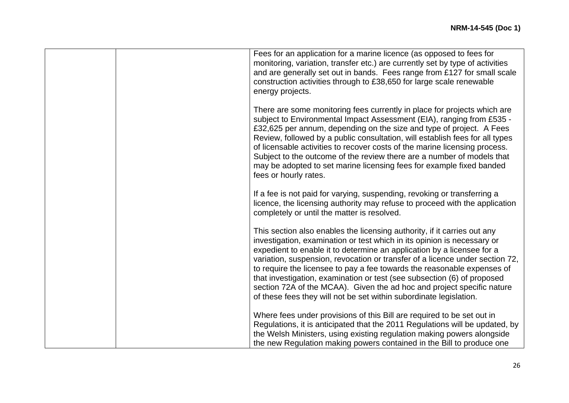|  | Fees for an application for a marine licence (as opposed to fees for<br>monitoring, variation, transfer etc.) are currently set by type of activities<br>and are generally set out in bands. Fees range from £127 for small scale<br>construction activities through to £38,650 for large scale renewable<br>energy projects.                                                                                                                                                                                                                                                                                       |
|--|---------------------------------------------------------------------------------------------------------------------------------------------------------------------------------------------------------------------------------------------------------------------------------------------------------------------------------------------------------------------------------------------------------------------------------------------------------------------------------------------------------------------------------------------------------------------------------------------------------------------|
|  | There are some monitoring fees currently in place for projects which are<br>subject to Environmental Impact Assessment (EIA), ranging from £535 -<br>£32,625 per annum, depending on the size and type of project. A Fees<br>Review, followed by a public consultation, will establish fees for all types<br>of licensable activities to recover costs of the marine licensing process.<br>Subject to the outcome of the review there are a number of models that<br>may be adopted to set marine licensing fees for example fixed banded<br>fees or hourly rates.                                                  |
|  | If a fee is not paid for varying, suspending, revoking or transferring a<br>licence, the licensing authority may refuse to proceed with the application<br>completely or until the matter is resolved.                                                                                                                                                                                                                                                                                                                                                                                                              |
|  | This section also enables the licensing authority, if it carries out any<br>investigation, examination or test which in its opinion is necessary or<br>expedient to enable it to determine an application by a licensee for a<br>variation, suspension, revocation or transfer of a licence under section 72,<br>to require the licensee to pay a fee towards the reasonable expenses of<br>that investigation, examination or test (see subsection (6) of proposed<br>section 72A of the MCAA). Given the ad hoc and project specific nature<br>of these fees they will not be set within subordinate legislation. |
|  | Where fees under provisions of this Bill are required to be set out in<br>Regulations, it is anticipated that the 2011 Regulations will be updated, by<br>the Welsh Ministers, using existing regulation making powers alongside<br>the new Regulation making powers contained in the Bill to produce one                                                                                                                                                                                                                                                                                                           |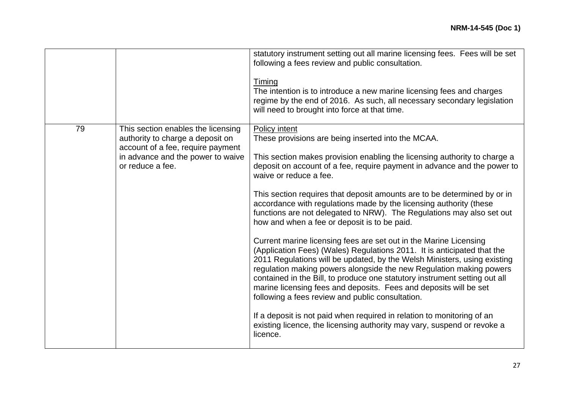|    |                                                                                                                                                                      | statutory instrument setting out all marine licensing fees. Fees will be set<br>following a fees review and public consultation.<br>Timing<br>The intention is to introduce a new marine licensing fees and charges<br>regime by the end of 2016. As such, all necessary secondary legislation<br>will need to brought into force at that time.                                                                                                                                                                                                                                                                                                                                                                                                                                                                                                                                                                                                                                                                                                                                                                                                                                                                     |
|----|----------------------------------------------------------------------------------------------------------------------------------------------------------------------|---------------------------------------------------------------------------------------------------------------------------------------------------------------------------------------------------------------------------------------------------------------------------------------------------------------------------------------------------------------------------------------------------------------------------------------------------------------------------------------------------------------------------------------------------------------------------------------------------------------------------------------------------------------------------------------------------------------------------------------------------------------------------------------------------------------------------------------------------------------------------------------------------------------------------------------------------------------------------------------------------------------------------------------------------------------------------------------------------------------------------------------------------------------------------------------------------------------------|
| 79 | This section enables the licensing<br>authority to charge a deposit on<br>account of a fee, require payment<br>in advance and the power to waive<br>or reduce a fee. | <b>Policy intent</b><br>These provisions are being inserted into the MCAA.<br>This section makes provision enabling the licensing authority to charge a<br>deposit on account of a fee, require payment in advance and the power to<br>waive or reduce a fee.<br>This section requires that deposit amounts are to be determined by or in<br>accordance with regulations made by the licensing authority (these<br>functions are not delegated to NRW). The Regulations may also set out<br>how and when a fee or deposit is to be paid.<br>Current marine licensing fees are set out in the Marine Licensing<br>(Application Fees) (Wales) Regulations 2011. It is anticipated that the<br>2011 Regulations will be updated, by the Welsh Ministers, using existing<br>regulation making powers alongside the new Regulation making powers<br>contained in the Bill, to produce one statutory instrument setting out all<br>marine licensing fees and deposits. Fees and deposits will be set<br>following a fees review and public consultation.<br>If a deposit is not paid when required in relation to monitoring of an<br>existing licence, the licensing authority may vary, suspend or revoke a<br>licence. |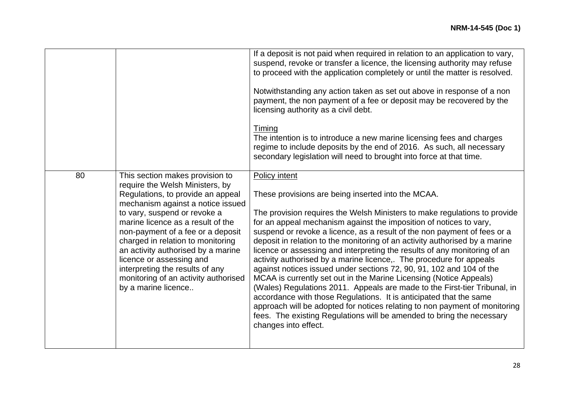|    |                                                                                                                                                                                                                                                                                                                                                                                                                                                                 | If a deposit is not paid when required in relation to an application to vary,<br>suspend, revoke or transfer a licence, the licensing authority may refuse<br>to proceed with the application completely or until the matter is resolved.<br>Notwithstanding any action taken as set out above in response of a non<br>payment, the non payment of a fee or deposit may be recovered by the<br>licensing authority as a civil debt.<br><b>Timing</b><br>The intention is to introduce a new marine licensing fees and charges<br>regime to include deposits by the end of 2016. As such, all necessary<br>secondary legislation will need to brought into force at that time.                                                                                                                                                                                                                                                                                                                                         |
|----|-----------------------------------------------------------------------------------------------------------------------------------------------------------------------------------------------------------------------------------------------------------------------------------------------------------------------------------------------------------------------------------------------------------------------------------------------------------------|-----------------------------------------------------------------------------------------------------------------------------------------------------------------------------------------------------------------------------------------------------------------------------------------------------------------------------------------------------------------------------------------------------------------------------------------------------------------------------------------------------------------------------------------------------------------------------------------------------------------------------------------------------------------------------------------------------------------------------------------------------------------------------------------------------------------------------------------------------------------------------------------------------------------------------------------------------------------------------------------------------------------------|
| 80 | This section makes provision to<br>require the Welsh Ministers, by<br>Regulations, to provide an appeal<br>mechanism against a notice issued<br>to vary, suspend or revoke a<br>marine licence as a result of the<br>non-payment of a fee or a deposit<br>charged in relation to monitoring<br>an activity authorised by a marine<br>licence or assessing and<br>interpreting the results of any<br>monitoring of an activity authorised<br>by a marine licence | Policy intent<br>These provisions are being inserted into the MCAA.<br>The provision requires the Welsh Ministers to make regulations to provide<br>for an appeal mechanism against the imposition of notices to vary,<br>suspend or revoke a licence, as a result of the non payment of fees or a<br>deposit in relation to the monitoring of an activity authorised by a marine<br>licence or assessing and interpreting the results of any monitoring of an<br>activity authorised by a marine licence,. The procedure for appeals<br>against notices issued under sections 72, 90, 91, 102 and 104 of the<br>MCAA is currently set out in the Marine Licensing (Notice Appeals)<br>(Wales) Regulations 2011. Appeals are made to the First-tier Tribunal, in<br>accordance with those Regulations. It is anticipated that the same<br>approach will be adopted for notices relating to non payment of monitoring<br>fees. The existing Regulations will be amended to bring the necessary<br>changes into effect. |